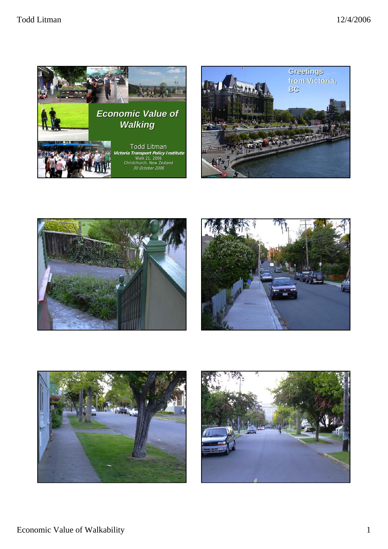









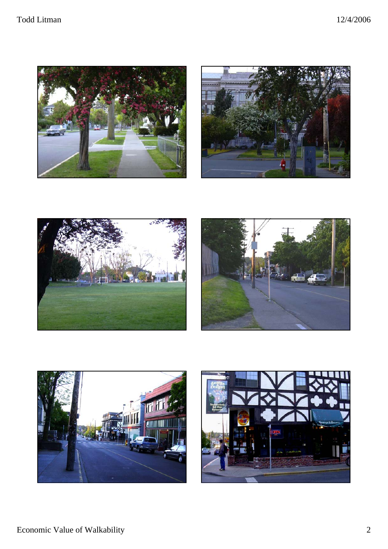# Todd Litman 12/4/2006











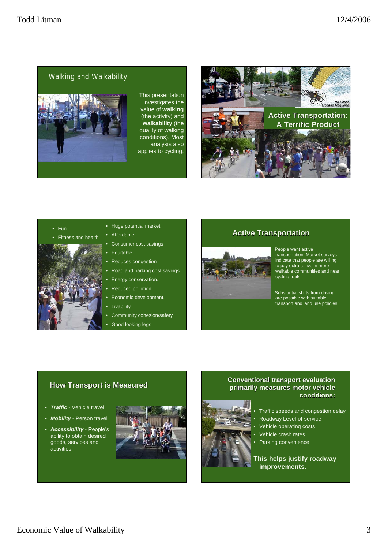Walking and Walkability



This presentation investigates the value of **walking** (the activity) and **walkability** (the quality of walking conditions). Most analysis also applies to cycling.



- Fun
- Affordable
	- Consumer cost savings

• Huge potential market

- **Equitable**
- Reduces congestion
- Road and parking cost savings.
- Energy conservation.
- Reduced pollution.
- Economic development.
- Livability
- Community cohesion/safety
- Good looking legs

# Furthess and health **Active Transportation**<br>Fitness and health **Affordable**



People want active transportation. Market surveys indicate that people are willing to pay extra to live in more walkable communities and near cycling trails.

Substantial shifts from driving are possible with suitable transport and land use policies.

#### **How Transport is Measured**

- *Traffic* Vehicle travel
- *Mobility* Person travel
- *Accessibility* People's ability to obtain desired goods, services and **activities**



#### **Conventional transport evaluation Conventional transport evaluation primarily measures motor vehicle primarily measures motor vehicle conditions:**

- Traffic speeds and congestion delay
- Roadway Level-of-service
- $\geq$  Vehicle operating costs
	- Vehicle crash rates
		- Parking convenience

**This helps justify roadway improvements.**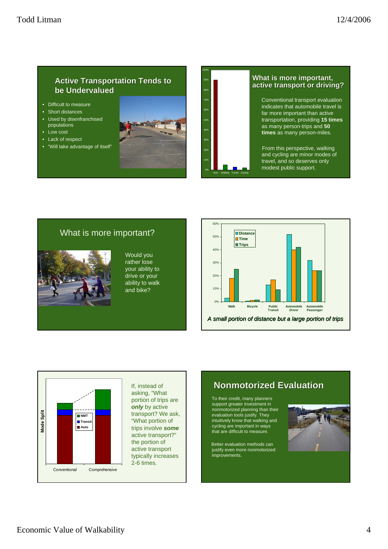#### **Active Transportation Tends to be Undervalued**

- Difficult to measure
- Short distances
- Used by disenfranchised populations
- Low cost
- Lack of respect
- "Will take advantage of itself"





100%

#### **What is more important, active transport or driving?**

Conventional transport evaluation indicates that automobile travel is far more important than active transportation, providing **15 times** as many person-trips and **50 times** as many person-miles.

From this perspective, walking and cycling are minor modes of travel, and so deserves only modest public support.

### What is more important?



#### Would you rather lose your ability to drive or your ability to walk and bike?





asking, "What portion of trips are *only* by active transport? We ask, "What portion of trips involve *some* active transport?" the portion of active transport typically increases 2-6 times.

# **Nonmotorized Evaluation**

To their credit, many planners support greater investment in nonmotorized planning than their evaluation tools justify. They intuitively know that walking and cycling are important in ways that are difficult to measure.

Better evaluation methods can justify even more nonmotorized improvements.

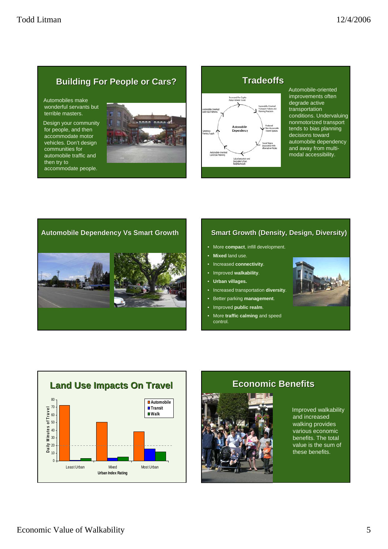# **Building For People or Cars?**

Automobiles make wonderful servants but terrible masters.

Design your community for people, and then accommodate motor vehicles. Don't design communities for automobile traffic and then try to accommodate people.



## **Tradeoffs Tradeoffs**



Automobile-oriented improvements often degrade active transportation conditions. Undervaluing nonmotorized transport tends to bias planning decisions toward automobile dependency and away from multimodal accessibility.

#### **Automobile Dependency Vs Smart Growth Automobile Dependency Vs Smart Growth Smart Growth (Density, Design, Diversity) Smart Growth (Density, Design, Diversity)**





- More **compact**, infill development.
- **Mixed** land use.
- Increased **connectivity**.
- Improved **walkability**.
- **Urban villages.**
- Increased transportation **diversity**.
- Better parking **management**.
- Improved **public realm**.
- More **traffic calming** and speed control.





# **Economic Benefits Economic Benefits**



Improved walkability and increased walking provides various economic benefits. The total value is the sum of these benefits.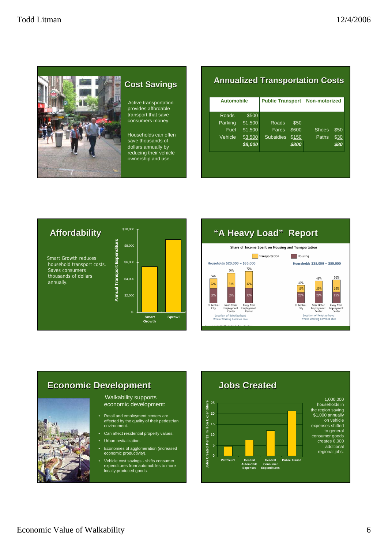

# **Cost Savings**

Active transportation provides affordable transport that save consumers money.

Households can often save thousands of dollars annually by reducing their vehicle ownership and use.

## **Annualized Transportation Costs**

| <b>Automobile</b> |         | <b>Public Transport</b> |                  | <b>Non-motorized</b> |              |      |
|-------------------|---------|-------------------------|------------------|----------------------|--------------|------|
|                   |         |                         |                  |                      |              |      |
|                   | Roads   | \$500                   |                  |                      |              |      |
|                   | Parking | \$1,500                 | Roads            | \$50                 |              |      |
|                   | Fuel    | \$1,500                 | Fares            | \$600                | <b>Shoes</b> | \$50 |
|                   | Vehicle | \$3,500                 | <b>Subsidies</b> | \$150                | Paths        | \$30 |
|                   |         | \$8,000                 |                  | \$800                |              | \$80 |
|                   |         |                         |                  |                      |              |      |
|                   |         |                         |                  |                      |              |      |
|                   |         |                         |                  |                      |              |      |
|                   |         |                         |                  |                      |              |      |

### **Affordability Affordability**

Smart Growth reduces household transport costs. Saves consumers thousands of dollars annually.



#### **"A Heavy Load" Report**  Share of Income Spent on Housing and Transportation Transportation Housing



# **Economic Development** Walkability supports economic development: • Retail and employment centers are affected by the quality of their pedestrian environment. • Can affect residential property values. • Urban revitalization. • Economies of agglomeration (increased economic productivity). • Vehicle cost savings - shifts consumer expenditures from automobiles to more locally-produced goods.

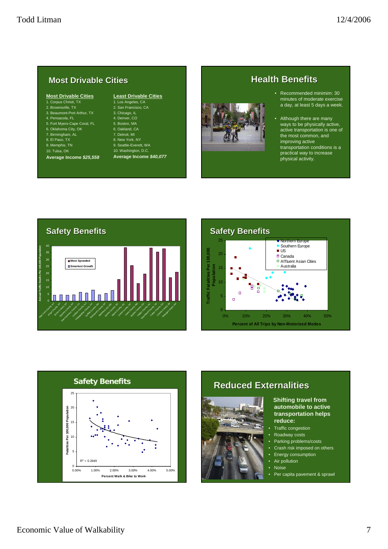### **Most Drivable Cities**

#### **Most Drivable Cities**

- 1. Corpus Christi, TX
- 2. Brownsville, TX 3. Beaumont-Port Arthur, TX
- 4. Pensacola, FL
- 5. Fort Myers-Cape Coral, FL
- 6. Oklahoma City, OK
- 7. Birmingham, AL
- 8. El Paso, TX
- 9. Memphis, TN
- 10. Tulsa, OK **Average Income** *\$25,558*

#### **Least Drivable Cities**

- 1. Los Angeles, CA 2. San Francisco, CA 3. Chicago, IL 4. Denver, CO 5. Boston, MA 6. Oakland, CA 7. Detroit, MI 8. New York, NY 9. Seattle-Everett, WA
- 10. Washington, D.C. **Average Income** *\$40,077*



- **Health Benefits Health Benefits**
	- Recommended minimim: 30 minutes of moderate exercise a day, at least 5 days a week.
	- Although there are many ways to be physically active, active transportation is one of the most common, and improving active transportation conditions is a practical way to increase physical activity.









#### **Shifting travel from automobile to active transportation helps reduce:**

- Traffic congestion
- Roadway costs
- Parking problems/costs
- Crash risk imposed on others
- Energy consumption • Air pollution
- Noise
- Per capita pavement & sprawl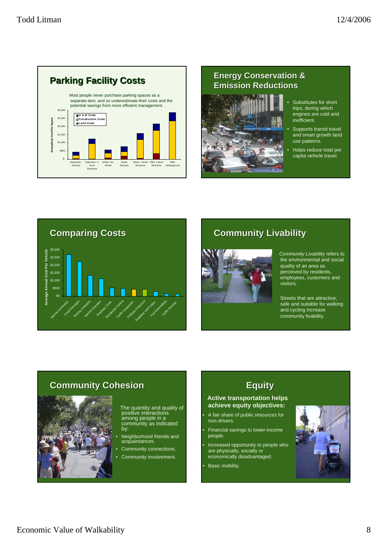

# **Energy Conservation & Energy Conservation & Emission Reductions**



- Substitutes for short trips, during which engines are cold and inefficient.
- Supports transit travel and smart growth land use patterns.
- Helps reduce total per capita vehicle travel.

**Comparing Costs Comparing Costs** \$3,000 Vehicle **Average Annual Cost Per Vehicle** \$2,500 Annual Cost Per \$2,000 \$1,500 \$1,000 \$500  $\epsilon$ Residential Parking Pollution Emissions Stile Damages Parking Subsidies Vehicle Operation Agabital Costs Fuel Externalities Vehicle Ownership Traffic Congestion Roadway Land Value es Ailly Service

# **Community Livability Community Livability**



*Community Livability* refers to the environmental and social quality of an area as perceived by residents, employees, customers and visitors.

Streets that are attractive, safe and suitable for walking and cycling increase community livability.

# **Community Cohesion**



The quantity and quality of positive interactions among people in a community as indicated by:

- Neighborhood friends and acquaintances.
- Community connections.
- Community involvement.

# **Equity**

#### **Active transportation helps achieve equity objectives:**

- A fair share of public resources for non-drivers.
- Financial savings to lower-income people.
- Increased opportunity to people who are physically, socially or economically disadvantaged.
- Basic mobility.